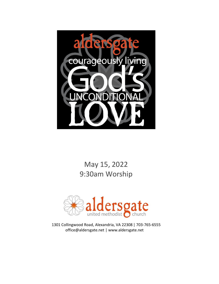

May 15, 2022 9:30am Worship



1301 Collingwood Road, Alexandria, VA 22308 | 703-765-6555 office@aldersgate.net | www.aldersgate.net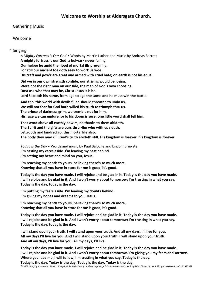### **Welcome to Worship at Aldersgate Church.**

### Gathering Music

#### Welcome

#### \* Singing

*A Mighty Fortress Is Our God* • Words by Martin Luther and Music by Andreas Barrett **A mighty fortress is our God, a bulwark never failing. Our helper he amid the flood of mortal ills prevailing. For still our ancient foe doth seek to work us woe. His craft and pow'r are great and armed with cruel hate; on earth is not his equal.**

**Did we in our own strength confide, our striving would be losing. Were not the right man on our side, the man of God's own choosing. Dost ask who that may be, Christ Jesus it is he. Lord Sabaoth his name, from age to age the same and he must win the battle.**

**And tho' this world with devils filled should threaten to undo us, We will not fear for God hath willed his truth to triumph thru us. The prince of darkness grim, we tremble not for him. His rage we can endure for lo his doom is sure; one little word shall fell him.**

**That word above all earthly pow'rs, no thanks to them abideth. The Spirit and the gifts are ours thru Him who with us sideth. Let goods and kindred go, this mortal life also. The body they may kill; God's truth abideth still. His kingdom is forever, his kingdom is forever.**

*Today Is the Day* • Words and music by Paul Baloche and Lincoln Brewster **I'm casting my cares aside. I'm leaving my past behind. I'm setting my heart and mind on you, Jesus.**

**I'm reaching my hands to yours, believing there's so much more, Knowing that all you have in store for me is good, it's good.**

**Today is the day you have made. I will rejoice and be glad in it. Today is the day you have made. I will rejoice and be glad in it. And I won't worry about tomorrow; I'm trusting in what you say. Today is the day, today is the day.**

**I'm putting my fears aside. I'm leaving my doubts behind. I'm giving my hopes and dreams to you, Jesus.**

**I'm reaching my hands to yours, believing there's so much more, Knowing that all you have in store for me is good, it's good.**

**Today is the day you have made. I will rejoice and be glad in it. Today is the day you have made. I will rejoice and be glad in it. And I won't worry about tomorrow; I'm trusting in what you say. Today is the day, today is the day.**

**I will stand upon your truth. I will stand upon your truth. And all my days, I'll live for you. All my days I'll live for you. And I will stand upon your truth. I will stand upon your truth. And all my days, I'll live for you. All my days, I'll live.**

**Today is the day you have made. I will rejoice and be glad in it. Today is the day you have made. I will rejoice and be glad in it. And I won't worry about tomorrow. I'm giving you my fears and sorrows. Where you lead me, I will follow; I'm trusting in what you say. Today is the day.**

**Today is the day. Today is the day. Today is the day. Today is the day.** *© 2008 Integrity's Hosanna! Music | Integrity's Praise! Music | Leadworship Songs | For use solely with the SongSelect Terms of Use | All rights reserved | CCLI #2987967*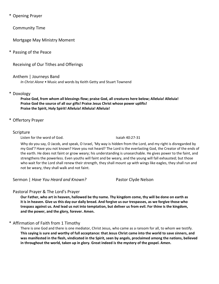\* Opening Prayer

Community Time

Mortgage May Ministry Moment

\* Passing of the Peace

Receiving of Our Tithes and Offerings

Anthem | Journeys Band

*In Christ Alone* • Music and words by Keith Getty and Stuart Townend

### \* Doxology

**Praise God, from whom all blessings flow; praise God, all creatures here below; Alleluia! Alleluia! Praise God the source of all our gifts! Praise Jesus Christ whose power uplifts! Praise the Spirit, Holy Spirit! Alleluia! Alleluia! Alleluia!**

\* Offertory Prayer

### Scripture

Listen for the word of God. Isaiah 40:27-31

Why do you say, O Jacob, and speak, O Israel, 'My way is hidden from the Lord, and my right is disregarded by my God'? Have you not known? Have you not heard? The Lord is the everlasting God, the Creator of the ends of the earth. He does not faint or grow weary; his understanding is unsearchable. He gives power to the faint, and strengthens the powerless. Even youths will faint and be weary, and the young will fall exhausted; but those who wait for the Lord shall renew their strength, they shall mount up with wings like eagles, they shall run and not be weary, they shall walk and not faint.

Sermon | *Have You Heard and Known?* Pastor Clyde Nelson

# Pastoral Prayer & The Lord's Prayer

**Our Father, who art in heaven, hallowed be thy name. Thy kingdom come, thy will be done on earth as it is in heaven. Give us this day our daily bread. And forgive us our trespasses, as we forgive those who trespass against us. And lead us not into temptation, but deliver us from evil. For thine is the kingdom, and the power, and the glory, forever. Amen.**

# \* Affirmation of Faith from 1 Timothy

There is one God and there is one mediator, Christ Jesus, who came as a ransom for all, to whom we testify. **This saying is sure and worthy of full acceptance: that Jesus Christ came into the world to save sinners, and was manifested in the flesh, vindicated in the Spirit, seen by angels, proclaimed among the nations, believed in throughout the world, taken up in glory. Great indeed is the mystery of the gospel. Amen.**